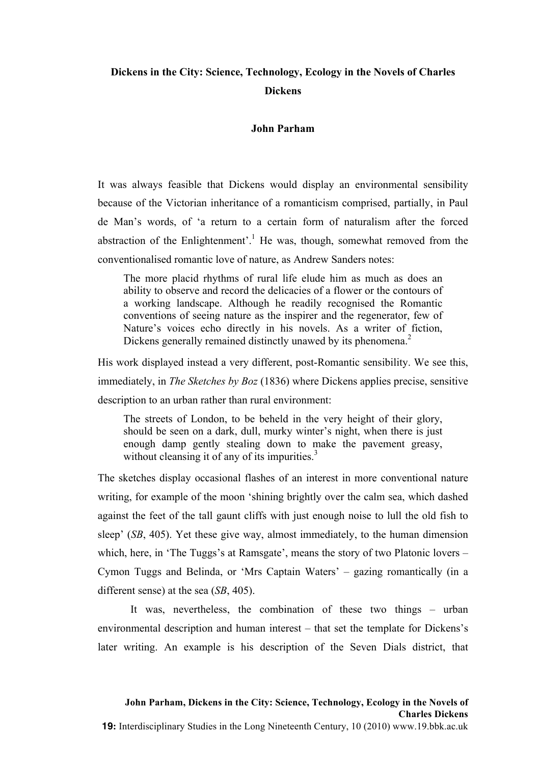# **Dickens in the City: Science, Technology, Ecology in the Novels of Charles Dickens**

# **John Parham**

It was always feasible that Dickens would display an environmental sensibility because of the Victorian inheritance of a romanticism comprised, partially, in Paul de Man's words, of 'a return to a certain form of naturalism after the forced abstraction of the Enlightenment'.<sup>1</sup> He was, though, somewhat removed from the conventionalised romantic love of nature, as Andrew Sanders notes:

The more placid rhythms of rural life elude him as much as does an ability to observe and record the delicacies of a flower or the contours of a working landscape. Although he readily recognised the Romantic conventions of seeing nature as the inspirer and the regenerator, few of Nature's voices echo directly in his novels. As a writer of fiction, Dickens generally remained distinctly unawed by its phenomena.<sup>2</sup>

His work displayed instead a very different, post-Romantic sensibility. We see this, immediately, in *The Sketches by Boz* (1836) where Dickens applies precise, sensitive description to an urban rather than rural environment:

The streets of London, to be beheld in the very height of their glory, should be seen on a dark, dull, murky winter's night, when there is just enough damp gently stealing down to make the pavement greasy, without cleansing it of any of its impurities.<sup>3</sup>

The sketches display occasional flashes of an interest in more conventional nature writing, for example of the moon 'shining brightly over the calm sea, which dashed against the feet of the tall gaunt cliffs with just enough noise to lull the old fish to sleep' (*SB*, 405). Yet these give way, almost immediately, to the human dimension which, here, in 'The Tuggs's at Ramsgate', means the story of two Platonic lovers – Cymon Tuggs and Belinda, or 'Mrs Captain Waters' – gazing romantically (in a different sense) at the sea (*SB*, 405).

It was, nevertheless, the combination of these two things – urban environmental description and human interest – that set the template for Dickens's later writing. An example is his description of the Seven Dials district, that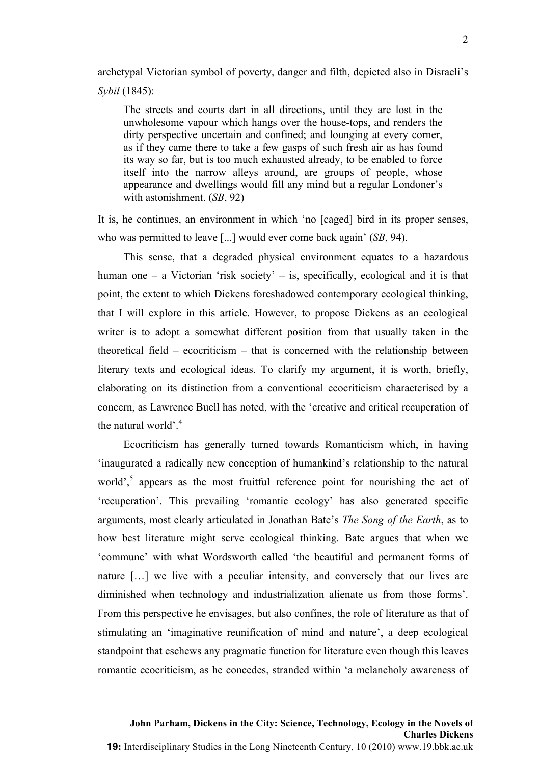archetypal Victorian symbol of poverty, danger and filth, depicted also in Disraeli's *Sybil* (1845):

The streets and courts dart in all directions, until they are lost in the unwholesome vapour which hangs over the house-tops, and renders the dirty perspective uncertain and confined; and lounging at every corner, as if they came there to take a few gasps of such fresh air as has found its way so far, but is too much exhausted already, to be enabled to force itself into the narrow alleys around, are groups of people, whose appearance and dwellings would fill any mind but a regular Londoner's with astonishment. (*SB*, 92)

It is, he continues, an environment in which 'no [caged] bird in its proper senses, who was permitted to leave [...] would ever come back again' (*SB*, 94).

This sense, that a degraded physical environment equates to a hazardous human one – a Victorian 'risk society' – is, specifically, ecological and it is that point, the extent to which Dickens foreshadowed contemporary ecological thinking, that I will explore in this article. However, to propose Dickens as an ecological writer is to adopt a somewhat different position from that usually taken in the theoretical field – ecocriticism – that is concerned with the relationship between literary texts and ecological ideas. To clarify my argument, it is worth, briefly, elaborating on its distinction from a conventional ecocriticism characterised by a concern, as Lawrence Buell has noted, with the 'creative and critical recuperation of the natural world' $^4$ .

Ecocriticism has generally turned towards Romanticism which, in having 'inaugurated a radically new conception of humankind's relationship to the natural world', $\frac{5}{3}$  appears as the most fruitful reference point for nourishing the act of 'recuperation'. This prevailing 'romantic ecology' has also generated specific arguments, most clearly articulated in Jonathan Bate's *The Song of the Earth*, as to how best literature might serve ecological thinking. Bate argues that when we 'commune' with what Wordsworth called 'the beautiful and permanent forms of nature […] we live with a peculiar intensity, and conversely that our lives are diminished when technology and industrialization alienate us from those forms'. From this perspective he envisages, but also confines, the role of literature as that of stimulating an 'imaginative reunification of mind and nature', a deep ecological standpoint that eschews any pragmatic function for literature even though this leaves romantic ecocriticism, as he concedes, stranded within 'a melancholy awareness of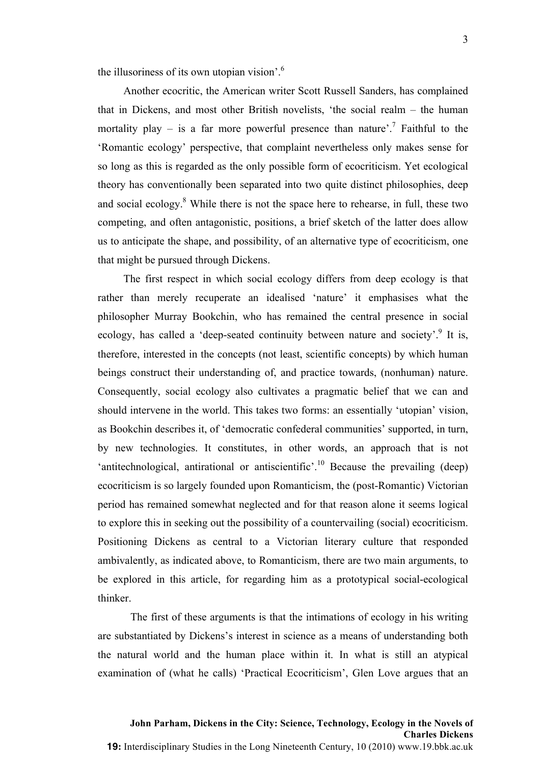the illusoriness of its own utopian vision'.6

Another ecocritic, the American writer Scott Russell Sanders, has complained that in Dickens, and most other British novelists, 'the social realm – the human mortality play – is a far more powerful presence than nature'.<sup>7</sup> Faithful to the 'Romantic ecology' perspective, that complaint nevertheless only makes sense for so long as this is regarded as the only possible form of ecocriticism. Yet ecological theory has conventionally been separated into two quite distinct philosophies, deep and social ecology. $8$  While there is not the space here to rehearse, in full, these two competing, and often antagonistic, positions, a brief sketch of the latter does allow us to anticipate the shape, and possibility, of an alternative type of ecocriticism, one that might be pursued through Dickens.

The first respect in which social ecology differs from deep ecology is that rather than merely recuperate an idealised 'nature' it emphasises what the philosopher Murray Bookchin, who has remained the central presence in social ecology, has called a 'deep-seated continuity between nature and society'.<sup>9</sup> It is, therefore, interested in the concepts (not least, scientific concepts) by which human beings construct their understanding of, and practice towards, (nonhuman) nature. Consequently, social ecology also cultivates a pragmatic belief that we can and should intervene in the world. This takes two forms: an essentially 'utopian' vision, as Bookchin describes it, of 'democratic confederal communities' supported, in turn, by new technologies. It constitutes, in other words, an approach that is not 'antitechnological, antirational or antiscientific'.<sup>10</sup> Because the prevailing (deep) ecocriticism is so largely founded upon Romanticism, the (post-Romantic) Victorian period has remained somewhat neglected and for that reason alone it seems logical to explore this in seeking out the possibility of a countervailing (social) ecocriticism. Positioning Dickens as central to a Victorian literary culture that responded ambivalently, as indicated above, to Romanticism, there are two main arguments, to be explored in this article, for regarding him as a prototypical social-ecological thinker.

The first of these arguments is that the intimations of ecology in his writing are substantiated by Dickens's interest in science as a means of understanding both the natural world and the human place within it. In what is still an atypical examination of (what he calls) 'Practical Ecocriticism', Glen Love argues that an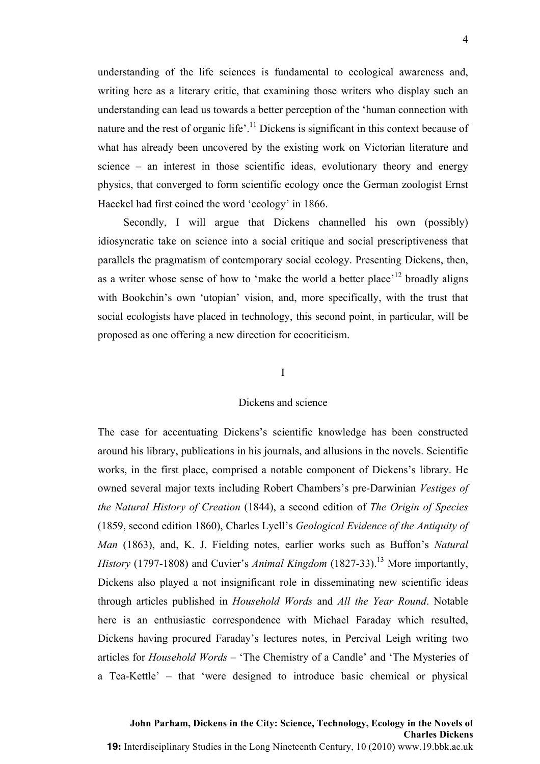understanding of the life sciences is fundamental to ecological awareness and, writing here as a literary critic, that examining those writers who display such an understanding can lead us towards a better perception of the 'human connection with nature and the rest of organic life'.<sup>11</sup> Dickens is significant in this context because of what has already been uncovered by the existing work on Victorian literature and science – an interest in those scientific ideas, evolutionary theory and energy physics, that converged to form scientific ecology once the German zoologist Ernst Haeckel had first coined the word 'ecology' in 1866.

Secondly, I will argue that Dickens channelled his own (possibly) idiosyncratic take on science into a social critique and social prescriptiveness that parallels the pragmatism of contemporary social ecology. Presenting Dickens, then, as a writer whose sense of how to 'make the world a better place'<sup>12</sup> broadly aligns with Bookchin's own 'utopian' vision, and, more specifically, with the trust that social ecologists have placed in technology, this second point, in particular, will be proposed as one offering a new direction for ecocriticism.

# I

#### Dickens and science

The case for accentuating Dickens's scientific knowledge has been constructed around his library, publications in his journals, and allusions in the novels. Scientific works, in the first place, comprised a notable component of Dickens's library. He owned several major texts including Robert Chambers's pre-Darwinian *Vestiges of the Natural History of Creation* (1844), a second edition of *The Origin of Species* (1859, second edition 1860), Charles Lyell's *Geological Evidence of the Antiquity of Man* (1863), and, K. J. Fielding notes, earlier works such as Buffon's *Natural History* (1797-1808) and Cuvier's *Animal Kingdom* (1827-33).<sup>13</sup> More importantly, Dickens also played a not insignificant role in disseminating new scientific ideas through articles published in *Household Words* and *All the Year Round*. Notable here is an enthusiastic correspondence with Michael Faraday which resulted, Dickens having procured Faraday's lectures notes, in Percival Leigh writing two articles for *Household Words* – 'The Chemistry of a Candle' and 'The Mysteries of a Tea-Kettle' – that 'were designed to introduce basic chemical or physical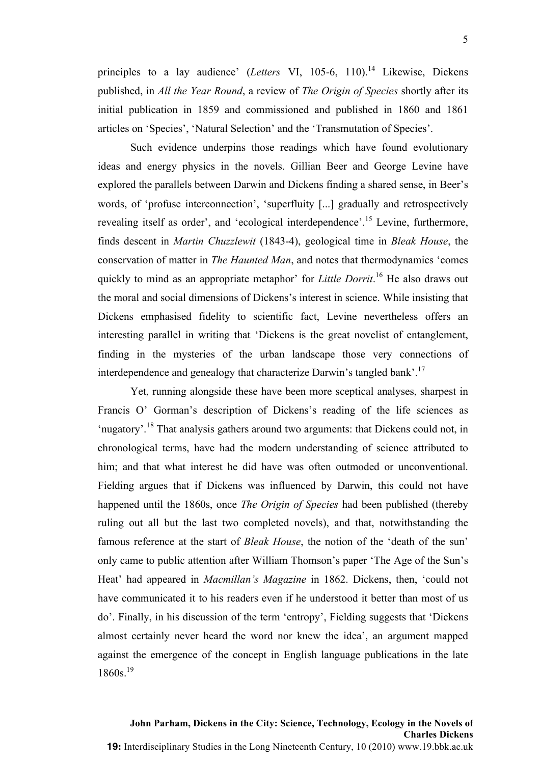principles to a lay audience' (*Letters* VI, 105-6, 110).<sup>14</sup> Likewise, Dickens published, in *All the Year Round*, a review of *The Origin of Species* shortly after its initial publication in 1859 and commissioned and published in 1860 and 1861 articles on 'Species', 'Natural Selection' and the 'Transmutation of Species'.

Such evidence underpins those readings which have found evolutionary ideas and energy physics in the novels. Gillian Beer and George Levine have explored the parallels between Darwin and Dickens finding a shared sense, in Beer's words, of 'profuse interconnection', 'superfluity [...] gradually and retrospectively revealing itself as order', and 'ecological interdependence'.<sup>15</sup> Levine, furthermore, finds descent in *Martin Chuzzlewit* (1843-4), geological time in *Bleak House*, the conservation of matter in *The Haunted Man*, and notes that thermodynamics 'comes quickly to mind as an appropriate metaphor' for *Little Dorrit*. <sup>16</sup> He also draws out the moral and social dimensions of Dickens's interest in science. While insisting that Dickens emphasised fidelity to scientific fact, Levine nevertheless offers an interesting parallel in writing that 'Dickens is the great novelist of entanglement, finding in the mysteries of the urban landscape those very connections of interdependence and genealogy that characterize Darwin's tangled bank'.<sup>17</sup>

Yet, running alongside these have been more sceptical analyses, sharpest in Francis O' Gorman's description of Dickens's reading of the life sciences as 'nugatory'.<sup>18</sup> That analysis gathers around two arguments: that Dickens could not, in chronological terms, have had the modern understanding of science attributed to him; and that what interest he did have was often outmoded or unconventional. Fielding argues that if Dickens was influenced by Darwin, this could not have happened until the 1860s, once *The Origin of Species* had been published (thereby ruling out all but the last two completed novels), and that, notwithstanding the famous reference at the start of *Bleak House*, the notion of the 'death of the sun' only came to public attention after William Thomson's paper 'The Age of the Sun's Heat' had appeared in *Macmillan's Magazine* in 1862. Dickens, then, 'could not have communicated it to his readers even if he understood it better than most of us do'. Finally, in his discussion of the term 'entropy', Fielding suggests that 'Dickens almost certainly never heard the word nor knew the idea', an argument mapped against the emergence of the concept in English language publications in the late  $1860s.$ <sup>19</sup>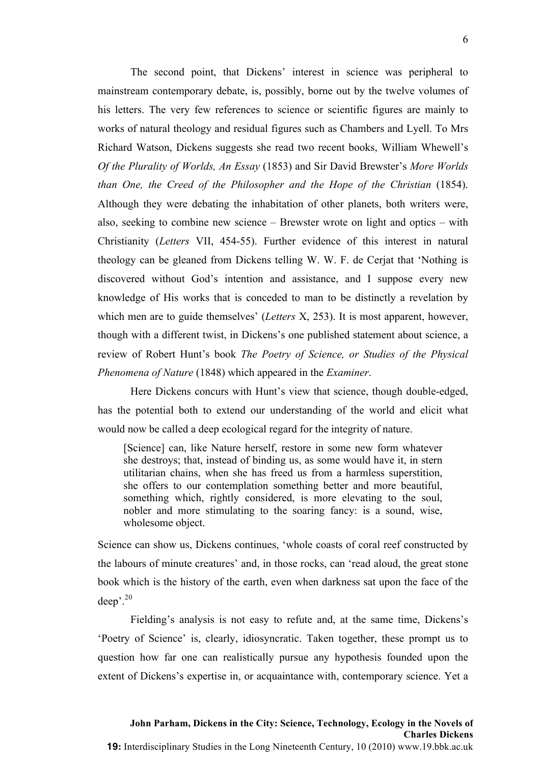The second point, that Dickens' interest in science was peripheral to mainstream contemporary debate, is, possibly, borne out by the twelve volumes of his letters. The very few references to science or scientific figures are mainly to works of natural theology and residual figures such as Chambers and Lyell. To Mrs Richard Watson, Dickens suggests she read two recent books, William Whewell's *Of the Plurality of Worlds, An Essay* (1853) and Sir David Brewster's *More Worlds than One, the Creed of the Philosopher and the Hope of the Christian* (1854). Although they were debating the inhabitation of other planets, both writers were, also, seeking to combine new science – Brewster wrote on light and optics – with Christianity (*Letters* VII, 454-55). Further evidence of this interest in natural theology can be gleaned from Dickens telling W. W. F. de Cerjat that 'Nothing is discovered without God's intention and assistance, and I suppose every new knowledge of His works that is conceded to man to be distinctly a revelation by which men are to guide themselves' (*Letters* X, 253). It is most apparent, however, though with a different twist, in Dickens's one published statement about science, a review of Robert Hunt's book *The Poetry of Science, or Studies of the Physical Phenomena of Nature* (1848) which appeared in the *Examiner*.

Here Dickens concurs with Hunt's view that science, though double-edged, has the potential both to extend our understanding of the world and elicit what would now be called a deep ecological regard for the integrity of nature.

[Science] can, like Nature herself, restore in some new form whatever she destroys; that, instead of binding us, as some would have it, in stern utilitarian chains, when she has freed us from a harmless superstition, she offers to our contemplation something better and more beautiful, something which, rightly considered, is more elevating to the soul, nobler and more stimulating to the soaring fancy: is a sound, wise, wholesome object.

Science can show us, Dickens continues, 'whole coasts of coral reef constructed by the labours of minute creatures' and, in those rocks, can 'read aloud, the great stone book which is the history of the earth, even when darkness sat upon the face of the deep'. 20

Fielding's analysis is not easy to refute and, at the same time, Dickens's 'Poetry of Science' is, clearly, idiosyncratic. Taken together, these prompt us to question how far one can realistically pursue any hypothesis founded upon the extent of Dickens's expertise in, or acquaintance with, contemporary science. Yet a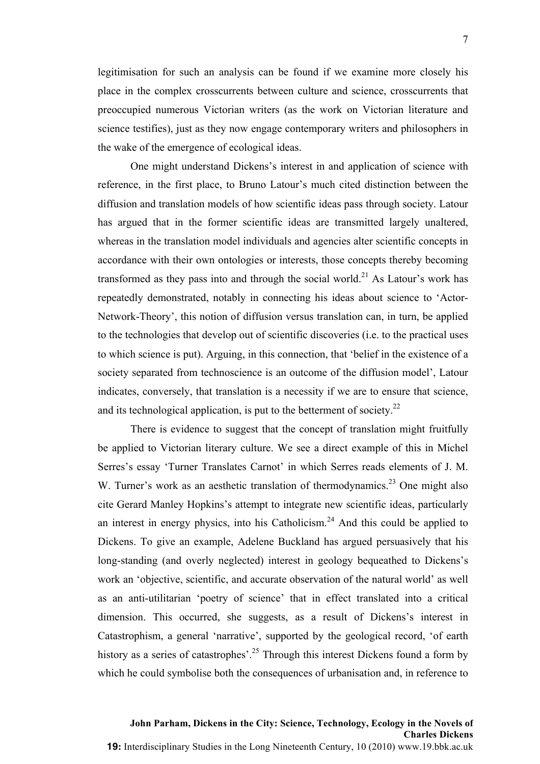legitimisation for such an analysis can be found if we examine more closely his place in the complex crosscurrents between culture and science, crosscurrents that preoccupied numerous Victorian writers (as the work on Victorian literature and science testifies), just as they now engage contemporary writers and philosophers in the wake of the emergence of ecological ideas.

One might understand Dickens's interest in and application of science with reference, in the first place, to Bruno Latour's much cited distinction between the diffusion and translation models of how scientific ideas pass through society. Latour has argued that in the former scientific ideas are transmitted largely unaltered, whereas in the translation model individuals and agencies alter scientific concepts in accordance with their own ontologies or interests, those concepts thereby becoming transformed as they pass into and through the social world.<sup>21</sup> As Latour's work has repeatedly demonstrated, notably in connecting his ideas about science to 'Actor-Network-Theory', this notion of diffusion versus translation can, in turn, be applied to the technologies that develop out of scientific discoveries (i.e. to the practical uses to which science is put). Arguing, in this connection, that 'belief in the existence of a society separated from technoscience is an outcome of the diffusion model', Latour indicates, conversely, that translation is a necessity if we are to ensure that science, and its technological application, is put to the betterment of society.<sup>22</sup>

There is evidence to suggest that the concept of translation might fruitfully be applied to Victorian literary culture. We see a direct example of this in Michel Serres's essay 'Turner Translates Carnot' in which Serres reads elements of J. M. W. Turner's work as an aesthetic translation of thermodynamics.<sup>23</sup> One might also cite Gerard Manley Hopkins's attempt to integrate new scientific ideas, particularly an interest in energy physics, into his Catholicism. $24$  And this could be applied to Dickens. To give an example, Adelene Buckland has argued persuasively that his long-standing (and overly neglected) interest in geology bequeathed to Dickens's work an 'objective, scientific, and accurate observation of the natural world' as well as an anti-utilitarian 'poetry of science' that in effect translated into a critical dimension. This occurred, she suggests, as a result of Dickens's interest in Catastrophism, a general 'narrative', supported by the geological record, 'of earth history as a series of catastrophes'.<sup>25</sup> Through this interest Dickens found a form by which he could symbolise both the consequences of urbanisation and, in reference to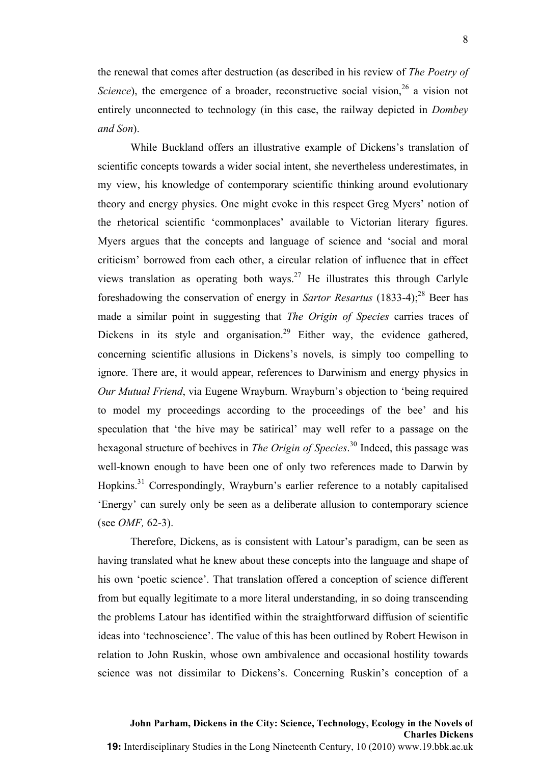the renewal that comes after destruction (as described in his review of *The Poetry of*  Science), the emergence of a broader, reconstructive social vision,<sup>26</sup> a vision not entirely unconnected to technology (in this case, the railway depicted in *Dombey and Son*).

While Buckland offers an illustrative example of Dickens's translation of scientific concepts towards a wider social intent, she nevertheless underestimates, in my view, his knowledge of contemporary scientific thinking around evolutionary theory and energy physics. One might evoke in this respect Greg Myers' notion of the rhetorical scientific 'commonplaces' available to Victorian literary figures. Myers argues that the concepts and language of science and 'social and moral criticism' borrowed from each other, a circular relation of influence that in effect views translation as operating both ways.<sup>27</sup> He illustrates this through Carlyle foreshadowing the conservation of energy in *Sartor Resartus* (1833-4); <sup>28</sup> Beer has made a similar point in suggesting that *The Origin of Species* carries traces of Dickens in its style and organisation.<sup>29</sup> Either way, the evidence gathered, concerning scientific allusions in Dickens's novels, is simply too compelling to ignore. There are, it would appear, references to Darwinism and energy physics in *Our Mutual Friend*, via Eugene Wrayburn. Wrayburn's objection to 'being required to model my proceedings according to the proceedings of the bee' and his speculation that 'the hive may be satirical' may well refer to a passage on the hexagonal structure of beehives in *The Origin of Species*. <sup>30</sup> Indeed, this passage was well-known enough to have been one of only two references made to Darwin by Hopkins.<sup>31</sup> Correspondingly, Wrayburn's earlier reference to a notably capitalised 'Energy' can surely only be seen as a deliberate allusion to contemporary science (see *OMF,* 62-3).

Therefore, Dickens, as is consistent with Latour's paradigm, can be seen as having translated what he knew about these concepts into the language and shape of his own 'poetic science'. That translation offered a conception of science different from but equally legitimate to a more literal understanding, in so doing transcending the problems Latour has identified within the straightforward diffusion of scientific ideas into 'technoscience'. The value of this has been outlined by Robert Hewison in relation to John Ruskin, whose own ambivalence and occasional hostility towards science was not dissimilar to Dickens's. Concerning Ruskin's conception of a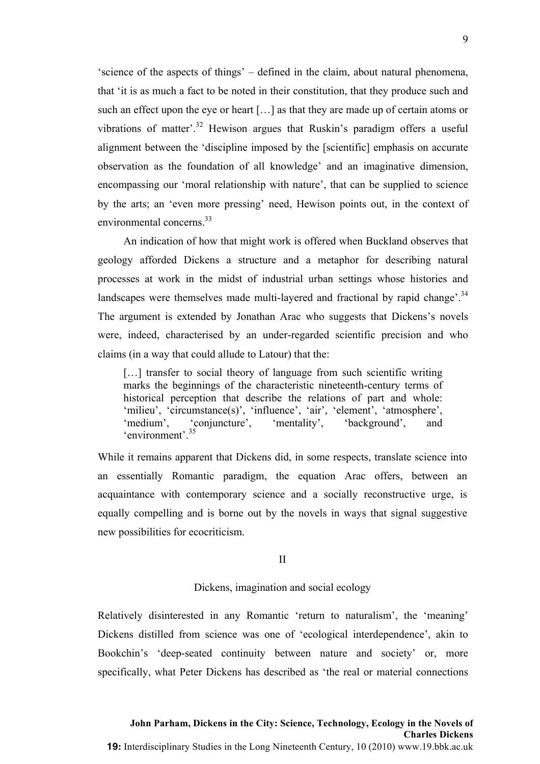'science of the aspects of things' – defined in the claim, about natural phenomena, that 'it is as much a fact to be noted in their constitution, that they produce such and such an effect upon the eye or heart […] as that they are made up of certain atoms or vibrations of matter<sup>32</sup> Hewison argues that Ruskin's paradigm offers a useful alignment between the 'discipline imposed by the [scientific] emphasis on accurate observation as the foundation of all knowledge' and an imaginative dimension, encompassing our 'moral relationship with nature', that can be supplied to science by the arts; an 'even more pressing' need, Hewison points out, in the context of environmental concerns<sup>33</sup>

An indication of how that might work is offered when Buckland observes that geology afforded Dickens a structure and a metaphor for describing natural processes at work in the midst of industrial urban settings whose histories and landscapes were themselves made multi-layered and fractional by rapid change'.<sup>34</sup> The argument is extended by Jonathan Arac who suggests that Dickens's novels were, indeed, characterised by an under-regarded scientific precision and who claims (in a way that could allude to Latour) that the:

[...] transfer to social theory of language from such scientific writing marks the beginnings of the characteristic nineteenth-century terms of historical perception that describe the relations of part and whole: 'milieu', 'circumstance(s)', 'influence', 'air', 'element', 'atmosphere', 'medium', 'conjuncture', 'mentality', 'background', and 'environment'.<sup>35</sup>

While it remains apparent that Dickens did, in some respects, translate science into an essentially Romantic paradigm, the equation Arac offers, between an acquaintance with contemporary science and a socially reconstructive urge, is equally compelling and is borne out by the novels in ways that signal suggestive new possibilities for ecocriticism.

II

# Dickens, imagination and social ecology

Relatively disinterested in any Romantic 'return to naturalism', the 'meaning' Dickens distilled from science was one of 'ecological interdependence', akin to Bookchin's 'deep-seated continuity between nature and society' or, more specifically, what Peter Dickens has described as 'the real or material connections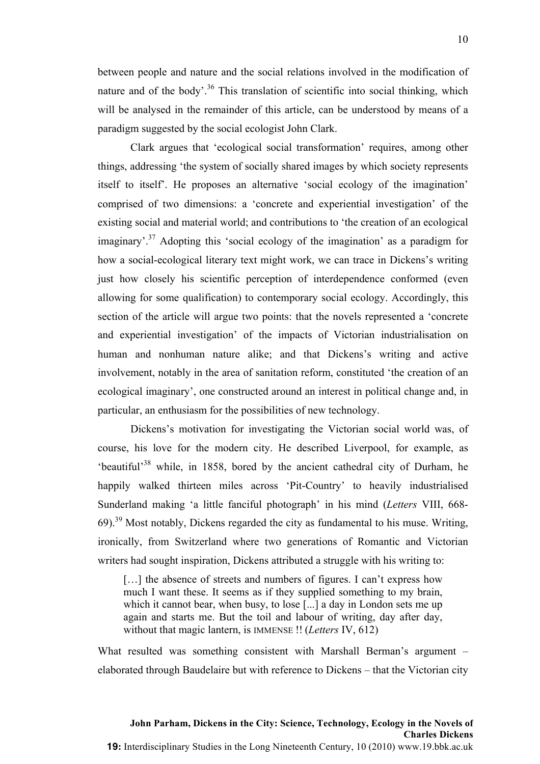between people and nature and the social relations involved in the modification of nature and of the body'.<sup>36</sup> This translation of scientific into social thinking, which will be analysed in the remainder of this article, can be understood by means of a paradigm suggested by the social ecologist John Clark.

Clark argues that 'ecological social transformation' requires, among other things, addressing 'the system of socially shared images by which society represents itself to itself'. He proposes an alternative 'social ecology of the imagination' comprised of two dimensions: a 'concrete and experiential investigation' of the existing social and material world; and contributions to 'the creation of an ecological imaginary'.<sup>37</sup> Adopting this 'social ecology of the imagination' as a paradigm for how a social-ecological literary text might work, we can trace in Dickens's writing just how closely his scientific perception of interdependence conformed (even allowing for some qualification) to contemporary social ecology. Accordingly, this section of the article will argue two points: that the novels represented a 'concrete and experiential investigation' of the impacts of Victorian industrialisation on human and nonhuman nature alike; and that Dickens's writing and active involvement, notably in the area of sanitation reform, constituted 'the creation of an ecological imaginary', one constructed around an interest in political change and, in particular, an enthusiasm for the possibilities of new technology.

Dickens's motivation for investigating the Victorian social world was, of course, his love for the modern city. He described Liverpool, for example, as 'beautiful'<sup>38</sup> while, in 1858, bored by the ancient cathedral city of Durham, he happily walked thirteen miles across 'Pit-Country' to heavily industrialised Sunderland making 'a little fanciful photograph' in his mind (*Letters* VIII, 668- 69).39 Most notably, Dickens regarded the city as fundamental to his muse. Writing, ironically, from Switzerland where two generations of Romantic and Victorian writers had sought inspiration, Dickens attributed a struggle with his writing to:

[...] the absence of streets and numbers of figures. I can't express how much I want these. It seems as if they supplied something to my brain, which it cannot bear, when busy, to lose [...] a day in London sets me up again and starts me. But the toil and labour of writing, day after day, without that magic lantern, is IMMENSE !! (*Letters* IV, 612)

What resulted was something consistent with Marshall Berman's argument – elaborated through Baudelaire but with reference to Dickens – that the Victorian city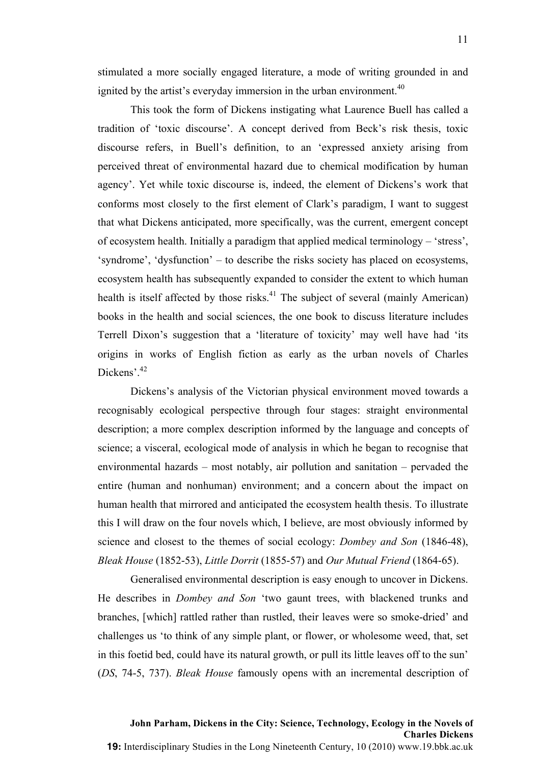stimulated a more socially engaged literature, a mode of writing grounded in and ignited by the artist's everyday immersion in the urban environment. $40$ 

This took the form of Dickens instigating what Laurence Buell has called a tradition of 'toxic discourse'. A concept derived from Beck's risk thesis, toxic discourse refers, in Buell's definition, to an 'expressed anxiety arising from perceived threat of environmental hazard due to chemical modification by human agency'. Yet while toxic discourse is, indeed, the element of Dickens's work that conforms most closely to the first element of Clark's paradigm, I want to suggest that what Dickens anticipated, more specifically, was the current, emergent concept of ecosystem health. Initially a paradigm that applied medical terminology – 'stress', 'syndrome', 'dysfunction' – to describe the risks society has placed on ecosystems, ecosystem health has subsequently expanded to consider the extent to which human health is itself affected by those risks.<sup>41</sup> The subject of several (mainly American) books in the health and social sciences, the one book to discuss literature includes Terrell Dixon's suggestion that a 'literature of toxicity' may well have had 'its origins in works of English fiction as early as the urban novels of Charles Dickens'.<sup>42</sup>

Dickens's analysis of the Victorian physical environment moved towards a recognisably ecological perspective through four stages: straight environmental description; a more complex description informed by the language and concepts of science; a visceral, ecological mode of analysis in which he began to recognise that environmental hazards – most notably, air pollution and sanitation – pervaded the entire (human and nonhuman) environment; and a concern about the impact on human health that mirrored and anticipated the ecosystem health thesis. To illustrate this I will draw on the four novels which, I believe, are most obviously informed by science and closest to the themes of social ecology: *Dombey and Son* (1846-48), *Bleak House* (1852-53), *Little Dorrit* (1855-57) and *Our Mutual Friend* (1864-65).

Generalised environmental description is easy enough to uncover in Dickens. He describes in *Dombey and Son* 'two gaunt trees, with blackened trunks and branches, [which] rattled rather than rustled, their leaves were so smoke-dried' and challenges us 'to think of any simple plant, or flower, or wholesome weed, that, set in this foetid bed, could have its natural growth, or pull its little leaves off to the sun' (*DS*, 74-5, 737). *Bleak House* famously opens with an incremental description of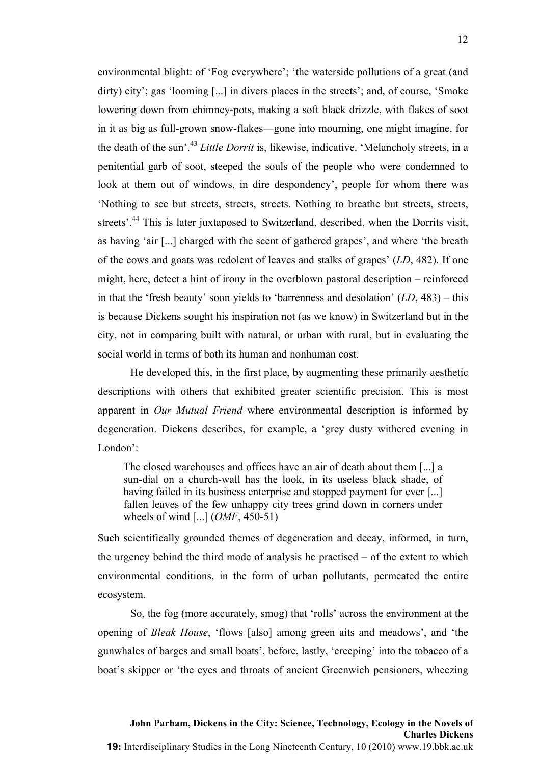environmental blight: of 'Fog everywhere'; 'the waterside pollutions of a great (and dirty) city'; gas 'looming [...] in divers places in the streets'; and, of course, 'Smoke lowering down from chimney-pots, making a soft black drizzle, with flakes of soot in it as big as full-grown snow-flakes—gone into mourning, one might imagine, for the death of the sun'.<sup>43</sup> *Little Dorrit* is, likewise, indicative. 'Melancholy streets, in a penitential garb of soot, steeped the souls of the people who were condemned to look at them out of windows, in dire despondency', people for whom there was 'Nothing to see but streets, streets, streets. Nothing to breathe but streets, streets, streets'.<sup>44</sup> This is later juxtaposed to Switzerland, described, when the Dorrits visit, as having 'air [...] charged with the scent of gathered grapes', and where 'the breath of the cows and goats was redolent of leaves and stalks of grapes' (*LD*, 482). If one might, here, detect a hint of irony in the overblown pastoral description – reinforced in that the 'fresh beauty' soon yields to 'barrenness and desolation' (*LD*, 483) – this is because Dickens sought his inspiration not (as we know) in Switzerland but in the city, not in comparing built with natural, or urban with rural, but in evaluating the social world in terms of both its human and nonhuman cost.

He developed this, in the first place, by augmenting these primarily aesthetic descriptions with others that exhibited greater scientific precision. This is most apparent in *Our Mutual Friend* where environmental description is informed by degeneration. Dickens describes, for example, a 'grey dusty withered evening in London':

The closed warehouses and offices have an air of death about them [...] a sun-dial on a church-wall has the look, in its useless black shade, of having failed in its business enterprise and stopped payment for ever [...] fallen leaves of the few unhappy city trees grind down in corners under wheels of wind [...] (*OMF*, 450-51)

Such scientifically grounded themes of degeneration and decay, informed, in turn, the urgency behind the third mode of analysis he practised – of the extent to which environmental conditions, in the form of urban pollutants, permeated the entire ecosystem.

So, the fog (more accurately, smog) that 'rolls' across the environment at the opening of *Bleak House*, 'flows [also] among green aits and meadows', and 'the gunwhales of barges and small boats', before, lastly, 'creeping' into the tobacco of a boat's skipper or 'the eyes and throats of ancient Greenwich pensioners, wheezing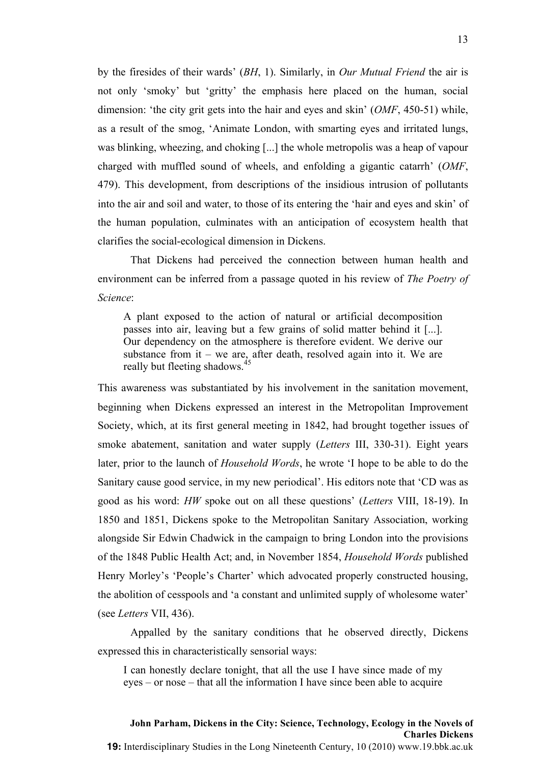by the firesides of their wards' (*BH*, 1). Similarly, in *Our Mutual Friend* the air is not only 'smoky' but 'gritty' the emphasis here placed on the human, social dimension: 'the city grit gets into the hair and eyes and skin' (*OMF*, 450-51) while, as a result of the smog, 'Animate London, with smarting eyes and irritated lungs, was blinking, wheezing, and choking [...] the whole metropolis was a heap of vapour charged with muffled sound of wheels, and enfolding a gigantic catarrh' (*OMF*, 479). This development, from descriptions of the insidious intrusion of pollutants into the air and soil and water, to those of its entering the 'hair and eyes and skin' of the human population, culminates with an anticipation of ecosystem health that clarifies the social-ecological dimension in Dickens.

That Dickens had perceived the connection between human health and environment can be inferred from a passage quoted in his review of *The Poetry of Science*:

A plant exposed to the action of natural or artificial decomposition passes into air, leaving but a few grains of solid matter behind it [...]. Our dependency on the atmosphere is therefore evident. We derive our substance from it – we are, after death, resolved again into it. We are really but fleeting shadows.<sup>45</sup>

This awareness was substantiated by his involvement in the sanitation movement, beginning when Dickens expressed an interest in the Metropolitan Improvement Society, which, at its first general meeting in 1842, had brought together issues of smoke abatement, sanitation and water supply (*Letters* III, 330-31). Eight years later, prior to the launch of *Household Words*, he wrote 'I hope to be able to do the Sanitary cause good service, in my new periodical'. His editors note that 'CD was as good as his word: *HW* spoke out on all these questions' (*Letters* VIII, 18-19). In 1850 and 1851, Dickens spoke to the Metropolitan Sanitary Association, working alongside Sir Edwin Chadwick in the campaign to bring London into the provisions of the 1848 Public Health Act; and, in November 1854, *Household Words* published Henry Morley's 'People's Charter' which advocated properly constructed housing, the abolition of cesspools and 'a constant and unlimited supply of wholesome water' (see *Letters* VII, 436).

Appalled by the sanitary conditions that he observed directly, Dickens expressed this in characteristically sensorial ways:

I can honestly declare tonight, that all the use I have since made of my eyes – or nose – that all the information I have since been able to acquire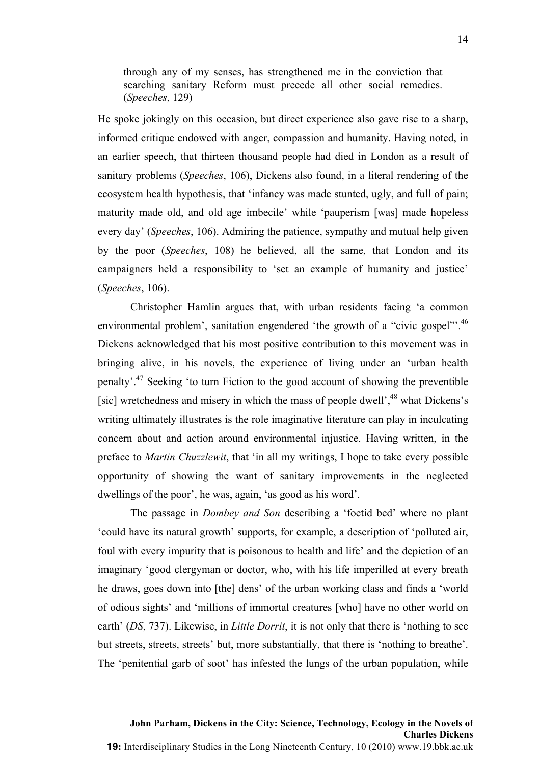through any of my senses, has strengthened me in the conviction that searching sanitary Reform must precede all other social remedies. (*Speeches*, 129)

He spoke jokingly on this occasion, but direct experience also gave rise to a sharp, informed critique endowed with anger, compassion and humanity. Having noted, in an earlier speech, that thirteen thousand people had died in London as a result of sanitary problems (*Speeches*, 106), Dickens also found, in a literal rendering of the ecosystem health hypothesis, that 'infancy was made stunted, ugly, and full of pain; maturity made old, and old age imbecile' while 'pauperism [was] made hopeless every day' (*Speeches*, 106). Admiring the patience, sympathy and mutual help given by the poor (*Speeches*, 108) he believed, all the same, that London and its campaigners held a responsibility to 'set an example of humanity and justice' (*Speeches*, 106).

Christopher Hamlin argues that, with urban residents facing 'a common environmental problem', sanitation engendered 'the growth of a "civic gospel"<sup>', 46</sup> Dickens acknowledged that his most positive contribution to this movement was in bringing alive, in his novels, the experience of living under an 'urban health penalty'. <sup>47</sup> Seeking 'to turn Fiction to the good account of showing the preventible [sic] wretchedness and misery in which the mass of people dwell',<sup>48</sup> what Dickens's writing ultimately illustrates is the role imaginative literature can play in inculcating concern about and action around environmental injustice. Having written, in the preface to *Martin Chuzzlewit*, that 'in all my writings, I hope to take every possible opportunity of showing the want of sanitary improvements in the neglected dwellings of the poor', he was, again, 'as good as his word'.

The passage in *Dombey and Son* describing a 'foetid bed' where no plant 'could have its natural growth' supports, for example, a description of 'polluted air, foul with every impurity that is poisonous to health and life' and the depiction of an imaginary 'good clergyman or doctor, who, with his life imperilled at every breath he draws, goes down into [the] dens' of the urban working class and finds a 'world of odious sights' and 'millions of immortal creatures [who] have no other world on earth' (*DS*, 737). Likewise, in *Little Dorrit*, it is not only that there is 'nothing to see but streets, streets, streets' but, more substantially, that there is 'nothing to breathe'. The 'penitential garb of soot' has infested the lungs of the urban population, while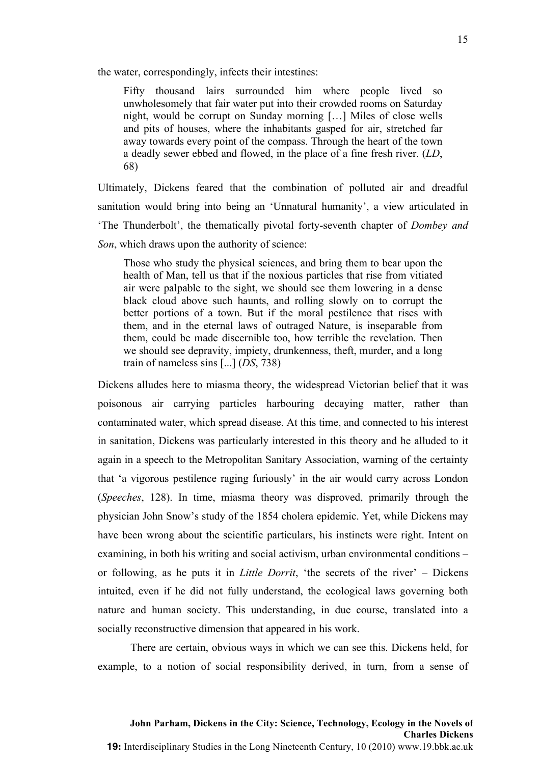the water, correspondingly, infects their intestines:

Fifty thousand lairs surrounded him where people lived so unwholesomely that fair water put into their crowded rooms on Saturday night, would be corrupt on Sunday morning […] Miles of close wells and pits of houses, where the inhabitants gasped for air, stretched far away towards every point of the compass. Through the heart of the town a deadly sewer ebbed and flowed, in the place of a fine fresh river. (*LD*, 68)

Ultimately, Dickens feared that the combination of polluted air and dreadful sanitation would bring into being an 'Unnatural humanity', a view articulated in 'The Thunderbolt', the thematically pivotal forty-seventh chapter of *Dombey and Son*, which draws upon the authority of science:

Those who study the physical sciences, and bring them to bear upon the health of Man, tell us that if the noxious particles that rise from vitiated air were palpable to the sight, we should see them lowering in a dense black cloud above such haunts, and rolling slowly on to corrupt the better portions of a town. But if the moral pestilence that rises with them, and in the eternal laws of outraged Nature, is inseparable from them, could be made discernible too, how terrible the revelation. Then we should see depravity, impiety, drunkenness, theft, murder, and a long train of nameless sins [...] (*DS*, 738)

Dickens alludes here to miasma theory, the widespread Victorian belief that it was poisonous air carrying particles harbouring decaying matter, rather than contaminated water, which spread disease. At this time, and connected to his interest in sanitation, Dickens was particularly interested in this theory and he alluded to it again in a speech to the Metropolitan Sanitary Association, warning of the certainty that 'a vigorous pestilence raging furiously' in the air would carry across London (*Speeches*, 128). In time, miasma theory was disproved, primarily through the physician John Snow's study of the 1854 cholera epidemic. Yet, while Dickens may have been wrong about the scientific particulars, his instincts were right. Intent on examining, in both his writing and social activism, urban environmental conditions – or following, as he puts it in *Little Dorrit*, 'the secrets of the river' – Dickens intuited, even if he did not fully understand, the ecological laws governing both nature and human society. This understanding, in due course, translated into a socially reconstructive dimension that appeared in his work.

There are certain, obvious ways in which we can see this. Dickens held, for example, to a notion of social responsibility derived, in turn, from a sense of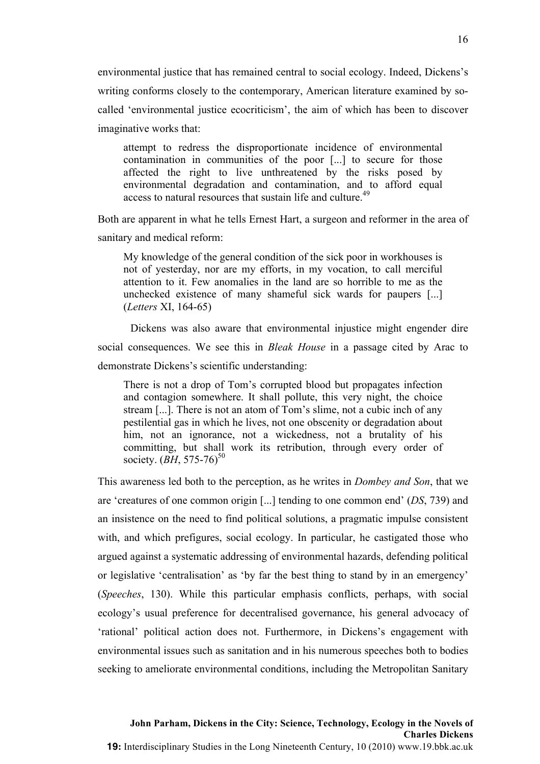environmental justice that has remained central to social ecology. Indeed, Dickens's writing conforms closely to the contemporary, American literature examined by socalled 'environmental justice ecocriticism', the aim of which has been to discover imaginative works that:

attempt to redress the disproportionate incidence of environmental contamination in communities of the poor [...] to secure for those affected the right to live unthreatened by the risks posed by environmental degradation and contamination, and to afford equal access to natural resources that sustain life and culture.<sup>49</sup>

Both are apparent in what he tells Ernest Hart, a surgeon and reformer in the area of sanitary and medical reform:

My knowledge of the general condition of the sick poor in workhouses is not of yesterday, nor are my efforts, in my vocation, to call merciful attention to it. Few anomalies in the land are so horrible to me as the unchecked existence of many shameful sick wards for paupers [...] (*Letters* XI, 164-65)

Dickens was also aware that environmental injustice might engender dire social consequences. We see this in *Bleak House* in a passage cited by Arac to demonstrate Dickens's scientific understanding:

There is not a drop of Tom's corrupted blood but propagates infection and contagion somewhere. It shall pollute, this very night, the choice stream [...]. There is not an atom of Tom's slime, not a cubic inch of any pestilential gas in which he lives, not one obscenity or degradation about him, not an ignorance, not a wickedness, not a brutality of his committing, but shall work its retribution, through every order of society. (BH, 575-76)<sup>50</sup>

This awareness led both to the perception, as he writes in *Dombey and Son*, that we are 'creatures of one common origin [...] tending to one common end' (*DS*, 739) and an insistence on the need to find political solutions, a pragmatic impulse consistent with, and which prefigures, social ecology. In particular, he castigated those who argued against a systematic addressing of environmental hazards, defending political or legislative 'centralisation' as 'by far the best thing to stand by in an emergency' (*Speeches*, 130). While this particular emphasis conflicts, perhaps, with social ecology's usual preference for decentralised governance, his general advocacy of 'rational' political action does not. Furthermore, in Dickens's engagement with environmental issues such as sanitation and in his numerous speeches both to bodies seeking to ameliorate environmental conditions, including the Metropolitan Sanitary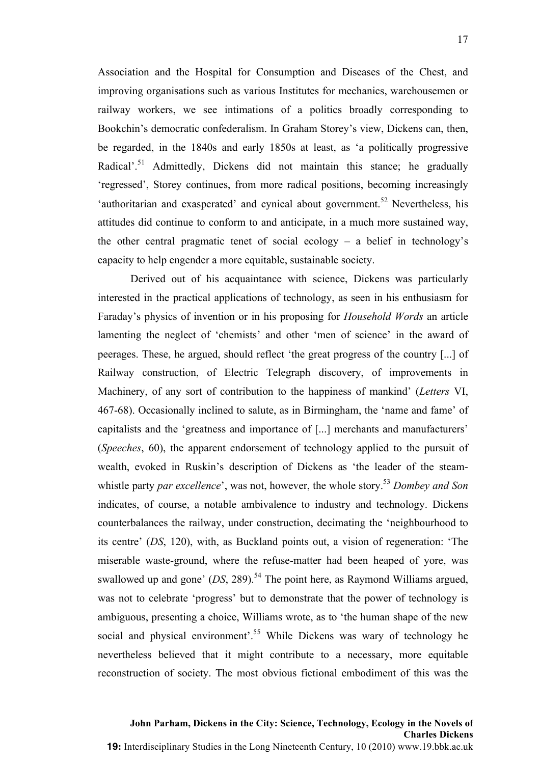Association and the Hospital for Consumption and Diseases of the Chest, and improving organisations such as various Institutes for mechanics, warehousemen or railway workers, we see intimations of a politics broadly corresponding to Bookchin's democratic confederalism. In Graham Storey's view, Dickens can, then, be regarded, in the 1840s and early 1850s at least, as 'a politically progressive Radical'.<sup>51</sup> Admittedly, Dickens did not maintain this stance; he gradually 'regressed', Storey continues, from more radical positions, becoming increasingly 'authoritarian and exasperated' and cynical about government.<sup>52</sup> Nevertheless, his attitudes did continue to conform to and anticipate, in a much more sustained way, the other central pragmatic tenet of social ecology – a belief in technology's capacity to help engender a more equitable, sustainable society.

Derived out of his acquaintance with science, Dickens was particularly interested in the practical applications of technology, as seen in his enthusiasm for Faraday's physics of invention or in his proposing for *Household Words* an article lamenting the neglect of 'chemists' and other 'men of science' in the award of peerages. These, he argued, should reflect 'the great progress of the country [...] of Railway construction, of Electric Telegraph discovery, of improvements in Machinery, of any sort of contribution to the happiness of mankind' (*Letters* VI, 467-68). Occasionally inclined to salute, as in Birmingham, the 'name and fame' of capitalists and the 'greatness and importance of [...] merchants and manufacturers' (*Speeches*, 60), the apparent endorsement of technology applied to the pursuit of wealth, evoked in Ruskin's description of Dickens as 'the leader of the steamwhistle party *par excellence*', was not, however, the whole story. <sup>53</sup> *Dombey and Son* indicates, of course, a notable ambivalence to industry and technology. Dickens counterbalances the railway, under construction, decimating the 'neighbourhood to its centre' (*DS*, 120), with, as Buckland points out, a vision of regeneration: 'The miserable waste-ground, where the refuse-matter had been heaped of yore, was swallowed up and gone' (*DS*, 289). <sup>54</sup> The point here, as Raymond Williams argued, was not to celebrate 'progress' but to demonstrate that the power of technology is ambiguous, presenting a choice, Williams wrote, as to 'the human shape of the new social and physical environment'.<sup>55</sup> While Dickens was wary of technology he nevertheless believed that it might contribute to a necessary, more equitable reconstruction of society. The most obvious fictional embodiment of this was the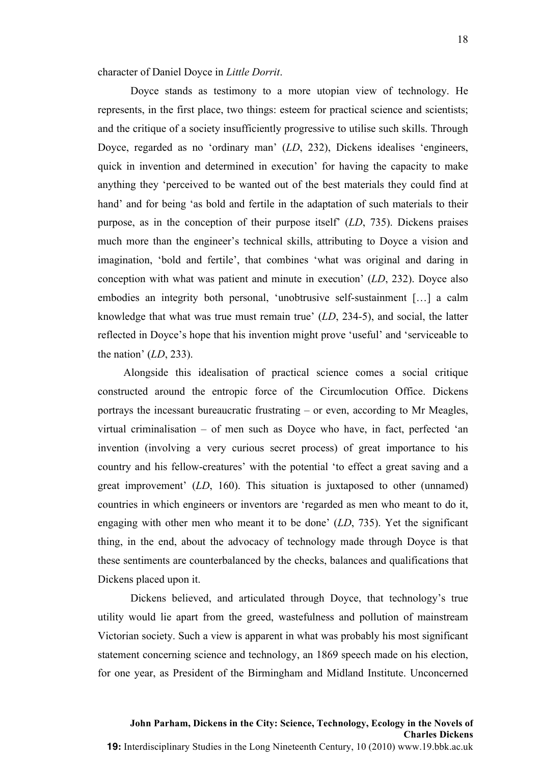Doyce stands as testimony to a more utopian view of technology. He represents, in the first place, two things: esteem for practical science and scientists; and the critique of a society insufficiently progressive to utilise such skills. Through Doyce, regarded as no 'ordinary man' (*LD*, 232), Dickens idealises 'engineers, quick in invention and determined in execution' for having the capacity to make anything they 'perceived to be wanted out of the best materials they could find at hand' and for being 'as bold and fertile in the adaptation of such materials to their purpose, as in the conception of their purpose itself' (*LD*, 735). Dickens praises much more than the engineer's technical skills, attributing to Doyce a vision and imagination, 'bold and fertile', that combines 'what was original and daring in conception with what was patient and minute in execution' (*LD*, 232). Doyce also embodies an integrity both personal, 'unobtrusive self-sustainment […] a calm knowledge that what was true must remain true' (*LD*, 234-5), and social, the latter reflected in Doyce's hope that his invention might prove 'useful' and 'serviceable to the nation' (*LD*, 233).

Alongside this idealisation of practical science comes a social critique constructed around the entropic force of the Circumlocution Office. Dickens portrays the incessant bureaucratic frustrating – or even, according to Mr Meagles, virtual criminalisation – of men such as Doyce who have, in fact, perfected 'an invention (involving a very curious secret process) of great importance to his country and his fellow-creatures' with the potential 'to effect a great saving and a great improvement' (*LD*, 160). This situation is juxtaposed to other (unnamed) countries in which engineers or inventors are 'regarded as men who meant to do it, engaging with other men who meant it to be done' (*LD*, 735). Yet the significant thing, in the end, about the advocacy of technology made through Doyce is that these sentiments are counterbalanced by the checks, balances and qualifications that Dickens placed upon it.

Dickens believed, and articulated through Doyce, that technology's true utility would lie apart from the greed, wastefulness and pollution of mainstream Victorian society. Such a view is apparent in what was probably his most significant statement concerning science and technology, an 1869 speech made on his election, for one year, as President of the Birmingham and Midland Institute. Unconcerned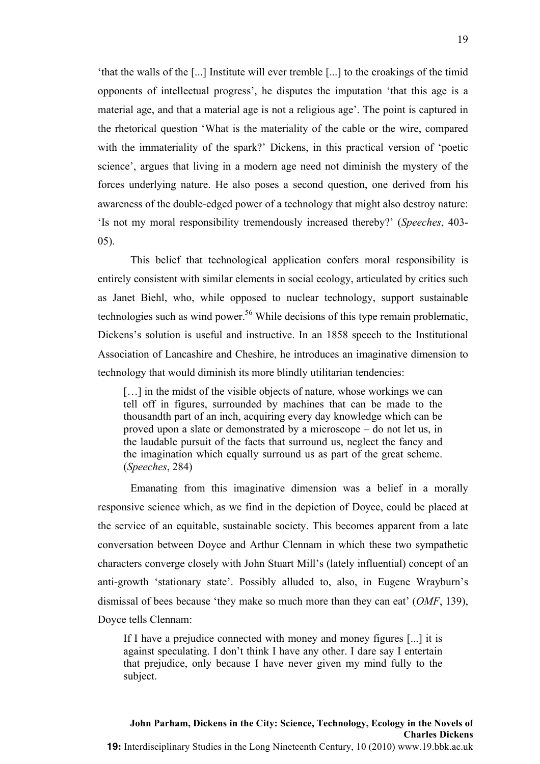'that the walls of the [...] Institute will ever tremble [...] to the croakings of the timid opponents of intellectual progress', he disputes the imputation 'that this age is a material age, and that a material age is not a religious age'. The point is captured in the rhetorical question 'What is the materiality of the cable or the wire, compared with the immateriality of the spark?' Dickens, in this practical version of 'poetic science', argues that living in a modern age need not diminish the mystery of the forces underlying nature. He also poses a second question, one derived from his awareness of the double-edged power of a technology that might also destroy nature: 'Is not my moral responsibility tremendously increased thereby?' (*Speeches*, 403- 05).

This belief that technological application confers moral responsibility is entirely consistent with similar elements in social ecology, articulated by critics such as Janet Biehl, who, while opposed to nuclear technology, support sustainable technologies such as wind power.<sup>56</sup> While decisions of this type remain problematic, Dickens's solution is useful and instructive. In an 1858 speech to the Institutional Association of Lancashire and Cheshire, he introduces an imaginative dimension to technology that would diminish its more blindly utilitarian tendencies:

[...] in the midst of the visible objects of nature, whose workings we can tell off in figures, surrounded by machines that can be made to the thousandth part of an inch, acquiring every day knowledge which can be proved upon a slate or demonstrated by a microscope – do not let us, in the laudable pursuit of the facts that surround us, neglect the fancy and the imagination which equally surround us as part of the great scheme. (*Speeches*, 284)

Emanating from this imaginative dimension was a belief in a morally responsive science which, as we find in the depiction of Doyce, could be placed at the service of an equitable, sustainable society. This becomes apparent from a late conversation between Doyce and Arthur Clennam in which these two sympathetic characters converge closely with John Stuart Mill's (lately influential) concept of an anti-growth 'stationary state'. Possibly alluded to, also, in Eugene Wrayburn's dismissal of bees because 'they make so much more than they can eat' (*OMF*, 139), Doyce tells Clennam:

If I have a prejudice connected with money and money figures [...] it is against speculating. I don't think I have any other. I dare say I entertain that prejudice, only because I have never given my mind fully to the subject.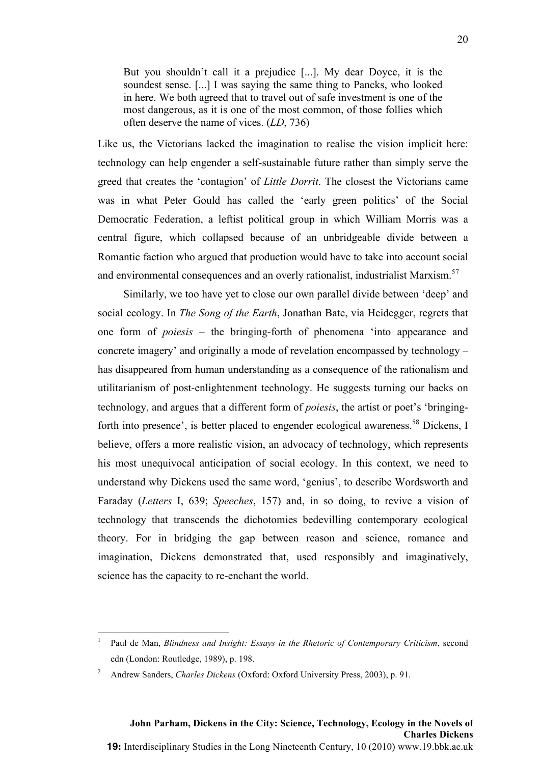But you shouldn't call it a prejudice [...]. My dear Doyce, it is the soundest sense. [...] I was saying the same thing to Pancks, who looked in here. We both agreed that to travel out of safe investment is one of the most dangerous, as it is one of the most common, of those follies which often deserve the name of vices. (*LD*, 736)

Like us, the Victorians lacked the imagination to realise the vision implicit here: technology can help engender a self-sustainable future rather than simply serve the greed that creates the 'contagion' of *Little Dorrit*. The closest the Victorians came was in what Peter Gould has called the 'early green politics' of the Social Democratic Federation, a leftist political group in which William Morris was a central figure, which collapsed because of an unbridgeable divide between a Romantic faction who argued that production would have to take into account social and environmental consequences and an overly rationalist, industrialist Marxism.<sup>57</sup>

Similarly, we too have yet to close our own parallel divide between 'deep' and social ecology. In *The Song of the Earth*, Jonathan Bate, via Heidegger, regrets that one form of *poiesis* – the bringing-forth of phenomena 'into appearance and concrete imagery' and originally a mode of revelation encompassed by technology – has disappeared from human understanding as a consequence of the rationalism and utilitarianism of post-enlightenment technology. He suggests turning our backs on technology, and argues that a different form of *poiesis*, the artist or poet's 'bringingforth into presence', is better placed to engender ecological awareness.<sup>58</sup> Dickens, I believe, offers a more realistic vision, an advocacy of technology, which represents his most unequivocal anticipation of social ecology. In this context, we need to understand why Dickens used the same word, 'genius', to describe Wordsworth and Faraday (*Letters* I, 639; *Speeches*, 157) and, in so doing, to revive a vision of technology that transcends the dichotomies bedevilling contemporary ecological theory. For in bridging the gap between reason and science, romance and imagination, Dickens demonstrated that, used responsibly and imaginatively, science has the capacity to re-enchant the world.

!!!!!!!!!!!!!!!!!!!!!!!!!!!!!!!!!!!!!!!!!!!!!!!!!!!!!!!!!!!!

<sup>1</sup> Paul de Man, *Blindness and Insight: Essays in the Rhetoric of Contemporary Criticism*, second edn (London: Routledge, 1989), p. 198.

<sup>2</sup> Andrew Sanders, *Charles Dickens* (Oxford: Oxford University Press, 2003), p. 91.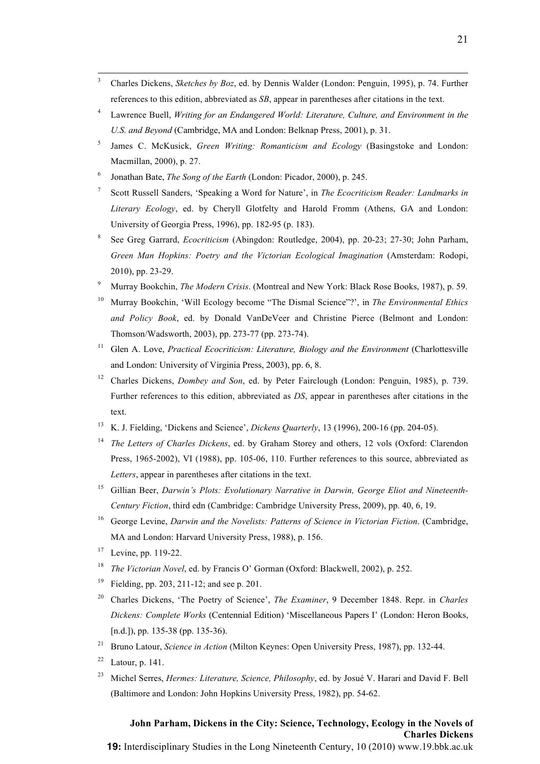<sup>3</sup> Charles Dickens, *Sketches by Boz*, ed. by Dennis Walder (London: Penguin, 1995), p. 74. Further references to this edition, abbreviated as *SB*, appear in parentheses after citations in the text.

!!!!!!!!!!!!!!!!!!!!!!!!!!!!!!!!!!!!!!!!!!!!!!!!!!!!!!!!!!!!!!!!!!!!!!!!!!!!!!!!!!!!!!!!!!!!!!!!!!!!!!!!!!!!!!!!!!!!!!!!!!!!!!!!!!!!!!!!!!!!!!!!!!!!!!!!!!!!!!!!!!!!!!!!!!!

- <sup>4</sup> Lawrence Buell, *Writing for an Endangered World: Literature, Culture, and Environment in the U.S. and Beyond* (Cambridge, MA and London: Belknap Press, 2001), p. 31.
- <sup>5</sup> James C. McKusick, *Green Writing: Romanticism and Ecology* (Basingstoke and London: Macmillan, 2000), p. 27.
- <sup>6</sup> Jonathan Bate, *The Song of the Earth* (London: Picador, 2000), p. 245.
- <sup>7</sup> Scott Russell Sanders, 'Speaking a Word for Nature', in *The Ecocriticism Reader: Landmarks in Literary Ecology*, ed. by Cheryll Glotfelty and Harold Fromm (Athens, GA and London: University of Georgia Press, 1996), pp. 182-95 (p. 183).
- <sup>8</sup> See Greg Garrard, *Ecocriticism* (Abingdon: Routledge, 2004), pp. 20-23; 27-30; John Parham, *Green Man Hopkins: Poetry and the Victorian Ecological Imagination* (Amsterdam: Rodopi, 2010), pp. 23-29.
- <sup>9</sup> Murray Bookchin, *The Modern Crisis*. (Montreal and New York: Black Rose Books, 1987), p. 59.
- <sup>10</sup> Murray Bookchin, 'Will Ecology become "The Dismal Science"?', in *The Environmental Ethics and Policy Book*, ed. by Donald VanDeVeer and Christine Pierce (Belmont and London: Thomson/Wadsworth, 2003), pp. 273-77 (pp. 273-74).
- <sup>11</sup> Glen A. Love, *Practical Ecocriticism: Literature, Biology and the Environment* (Charlottesville and London: University of Virginia Press, 2003), pp. 6, 8.
- <sup>12</sup> Charles Dickens, *Dombey and Son*, ed. by Peter Fairclough (London: Penguin, 1985), p. 739. Further references to this edition, abbreviated as *DS*, appear in parentheses after citations in the text.
- <sup>13</sup> K. J. Fielding, 'Dickens and Science', *Dickens Quarterly*, 13 (1996), 200-16 (pp. 204-05).
- <sup>14</sup> *The Letters of Charles Dickens*, ed. by Graham Storey and others, 12 vols (Oxford: Clarendon Press, 1965-2002), VI (1988), pp. 105-06, 110. Further references to this source, abbreviated as *Letters*, appear in parentheses after citations in the text.
- <sup>15</sup> Gillian Beer, *Darwin's Plots: Evolutionary Narrative in Darwin, George Eliot and Nineteenth-Century Fiction*, third edn (Cambridge: Cambridge University Press, 2009), pp. 40, 6, 19.
- <sup>16</sup> George Levine, *Darwin and the Novelists: Patterns of Science in Victorian Fiction*. (Cambridge, MA and London: Harvard University Press, 1988), p. 156.
- <sup>17</sup> Levine, pp. 119-22.
- <sup>18</sup> *The Victorian Novel*, ed. by Francis O' Gorman (Oxford: Blackwell, 2002), p. 252.
- <sup>19</sup> Fielding, pp. 203, 211-12; and see p. 201.
- <sup>20</sup> Charles Dickens, 'The Poetry of Science', *The Examiner*, 9 December 1848. Repr. in *Charles Dickens: Complete Works* (Centennial Edition) 'Miscellaneous Papers I' (London: Heron Books, [n.d.]), pp. 135-38 (pp. 135-36).
- <sup>21</sup> Bruno Latour, *Science in Action* (Milton Keynes: Open University Press, 1987), pp. 132-44.
- $22$  Latour, p. 141.
- <sup>23</sup> Michel Serres, *Hermes: Literature, Science, Philosophy*, ed. by Josué V. Harari and David F. Bell (Baltimore and London: John Hopkins University Press, 1982), pp. 54-62.

# **John Parham, Dickens in the City: Science, Technology, Ecology in the Novels of Charles Dickens**

**19:** Interdisciplinary Studies in the Long Nineteenth Century, 10 (2010) www.19.bbk.ac.uk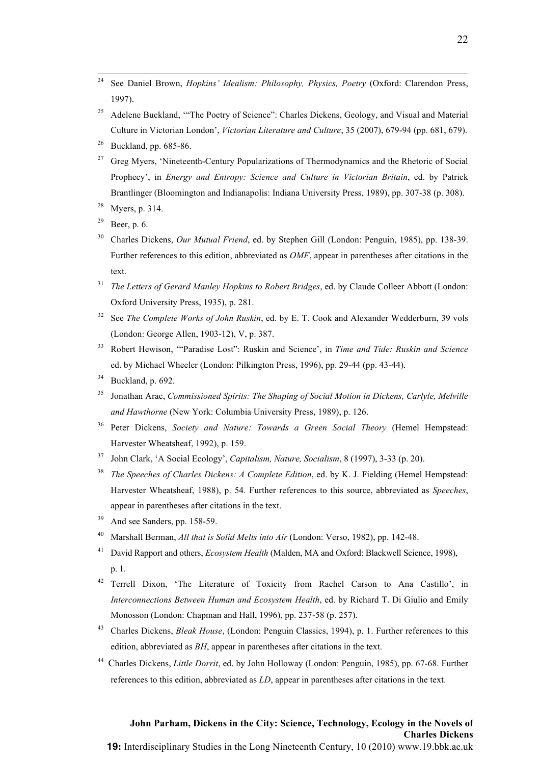<sup>24</sup> See Daniel Brown, *Hopkins' Idealism: Philosophy, Physics, Poetry* (Oxford: Clarendon Press, 1997).

!!!!!!!!!!!!!!!!!!!!!!!!!!!!!!!!!!!!!!!!!!!!!!!!!!!!!!!!!!!!!!!!!!!!!!!!!!!!!!!!!!!!!!!!!!!!!!!!!!!!!!!!!!!!!!!!!!!!!!!!!!!!!!!!!!!!!!!!!!!!!!!!!!!!!!!!!!!!!!!!!!!!!!!!!!!

- <sup>25</sup> Adelene Buckland, "The Poetry of Science": Charles Dickens, Geology, and Visual and Material Culture in Victorian London', *Victorian Literature and Culture*, 35 (2007), 679-94 (pp. 681, 679).
- $26$  Buckland, pp. 685-86.
- <sup>27</sup> Greg Myers, 'Nineteenth-Century Popularizations of Thermodynamics and the Rhetoric of Social Prophecy', in *Energy and Entropy: Science and Culture in Victorian Britain*, ed. by Patrick Brantlinger (Bloomington and Indianapolis: Indiana University Press, 1989), pp. 307-38 (p. 308).
- <sup>28</sup> Myers, p. 314.
- $29$  Beer, p. 6.
- <sup>30</sup> Charles Dickens, *Our Mutual Friend*, ed. by Stephen Gill (London: Penguin, 1985), pp. 138-39. Further references to this edition, abbreviated as *OMF*, appear in parentheses after citations in the text.
- <sup>31</sup> *The Letters of Gerard Manley Hopkins to Robert Bridges*, ed. by Claude Colleer Abbott (London: Oxford University Press, 1935), p. 281.
- <sup>32</sup> See *The Complete Works of John Ruskin*, ed. by E. T. Cook and Alexander Wedderburn, 39 vols (London: George Allen, 1903-12), V, p. 387.
- <sup>33</sup> Robert Hewison, '"Paradise Lost": Ruskin and Science', in *Time and Tide: Ruskin and Science* ed. by Michael Wheeler (London: Pilkington Press, 1996), pp. 29-44 (pp. 43-44).
- $34$  Buckland, p. 692.
- 35 Jonathan Arac, *Commissioned Spirits: The Shaping of Social Motion in Dickens, Carlyle, Melville and Hawthorne* (New York: Columbia University Press, 1989), p. 126.
- <sup>36</sup> Peter Dickens, *Society and Nature: Towards a Green Social Theory* (Hemel Hempstead: Harvester Wheatsheaf, 1992), p. 159.
- <sup>37</sup> John Clark, 'A Social Ecology', *Capitalism, Nature, Socialism*, 8 (1997), 3-33 (p. 20).
- <sup>38</sup> *The Speeches of Charles Dickens: A Complete Edition*, ed. by K. J. Fielding (Hemel Hempstead: Harvester Wheatsheaf, 1988), p. 54. Further references to this source, abbreviated as *Speeches*, appear in parentheses after citations in the text.
- And see Sanders, pp. 158-59.
- <sup>40</sup> Marshall Berman, *All that is Solid Melts into Air* (London: Verso, 1982), pp. 142-48.
- <sup>41</sup> David Rapport and others, *Ecosystem Health* (Malden, MA and Oxford: Blackwell Science, 1998), p. 1.
- <sup>42</sup> Terrell Dixon, 'The Literature of Toxicity from Rachel Carson to Ana Castillo', in *Interconnections Between Human and Ecosystem Health*, ed. by Richard T. Di Giulio and Emily Monosson (London: Chapman and Hall, 1996), pp. 237-58 (p. 257).
- <sup>43</sup> Charles Dickens, *Bleak House*, (London: Penguin Classics, 1994), p. 1. Further references to this edition, abbreviated as *BH*, appear in parentheses after citations in the text.
- <sup>44</sup> Charles Dickens, *Little Dorrit*, ed. by John Holloway (London: Penguin, 1985), pp. 67-68. Further references to this edition, abbreviated as *LD*, appear in parentheses after citations in the text.